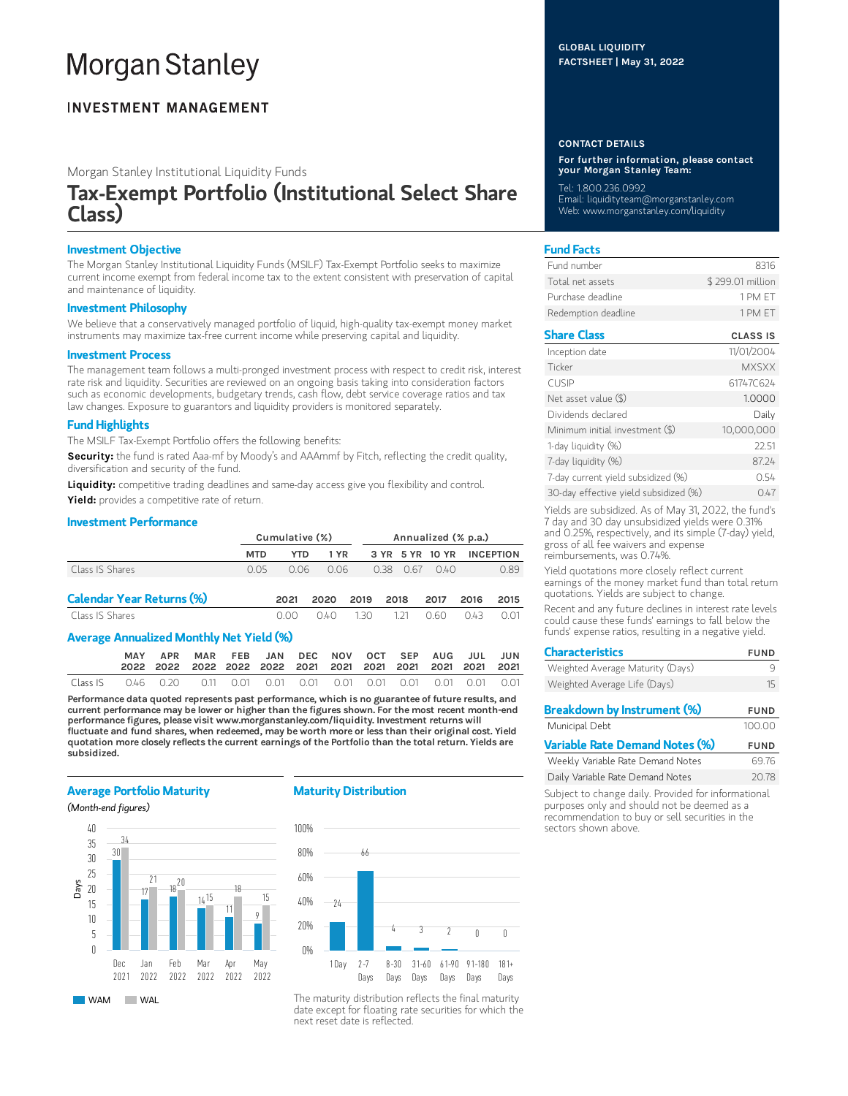# **Morgan Stanley**

### **INVESTMENT MANAGEMENT**

Morgan Stanley Institutional Liquidity Funds

## Tax-Exempt Portfolio (Institutional Select Share Class)

#### Investment Objective

The Morgan Stanley Institutional Liquidity Funds (MSILF) Tax-Exempt Portfolio seeks to maximize current income exempt from federal income tax to the extent consistent with preservation of capital and maintenance of liquidity.

#### Investment Philosophy

We believe that a conservatively managed portfolio of liquid, high-quality tax-exempt money market instruments may maximize tax-free current income while preserving capital and liquidity.

#### Investment Process

The management team follows a multi-pronged investment process with respect to credit risk, interest rate risk and liquidity. Securities are reviewed on an ongoing basis taking into consideration factors such as economic developments, budgetary trends, cash flow, debt service coverage ratios and tax law changes. Exposure to guarantors and liquidity providers is monitored separately.

#### Fund Highlights

The MSILF Tax-Exempt Portfolio offers the following benefits:

Security: the fund is rated Aaa-mf by Moody's and AAAmmf by Fitch, reflecting the credit quality, diversification and security of the fund.

Liquidity: competitive trading deadlines and same-day access give you flexibility and control.

Yield: provides a competitive rate of return.

#### Investment Performance

|                                  | Cumulative (%) |      |      |      | Annualized (% p.a.) |           |                 |      |                  |
|----------------------------------|----------------|------|------|------|---------------------|-----------|-----------------|------|------------------|
|                                  | <b>MTD</b>     | YTD  | 1 YR |      |                     |           | 3 YR 5 YR 10 YR |      | <b>INCEPTION</b> |
| Class IS Shares                  | O O5           | 0.06 | 0.06 |      |                     | 0.38 0.67 | 040             |      | 0.89             |
| <b>Calendar Year Returns (%)</b> |                | 2021 | 2020 | 2019 |                     | 2018      | 2017            | 2016 | 2015             |
| Class IS Shares                  |                | N UU | 040  | 130. |                     | 1 21      | N 60.           | Q43  | O 01             |

#### Average Annualized Monthly Net Yield (%)

|          | MAY. | APR                                                                    | MAR FEB JAN DEC NOV OCT SEP AUG JUL JUN |  |  |  |  |  |
|----------|------|------------------------------------------------------------------------|-----------------------------------------|--|--|--|--|--|
| Class IS |      | 0.46  0.20  0.11  0.01  0.01  0.01  0.01  0.01  0.01  0.01  0.01  0.01 |                                         |  |  |  |  |  |

Performance data quoted represents past performance, which is no guarantee of future results, and current performance may be lower or higher than the figures shown. For the most recent month-end performance figures, please visit www.morganstanley.com/liquidity. Investment returns will fluctuate and fund shares, when redeemed, may be worth more or less than their original cost. Yield quotation more closely reflects the current earnings of the Portfolio than the total return. Yields are subsidized.

#### Average Portfolio Maturity

(Month-end figures)



#### Maturity Distribution



The maturity distribution reflects the final maturity date except for floating rate securities for which the next reset date is reflected.

#### GLOBAL LIQUIDITY FACTSHEET | May 31, 2022

#### CONTACT DETAILS

For further information, please contact your Morgan Stanley Team:

Tel: 1.800.236.0992 Email: liquidityteam@morganstanley.com Web: www.morganstanley.com/liquidity

#### Fund Facts

| Fund number         | 8316             |
|---------------------|------------------|
| Total net assets    | \$299.01 million |
| Purchase deadline.  | 1 PM FT          |
| Redemption deadline | 1 PM FT          |

#### Share Class CLASS IS

| Inception date                        | 11/01/2004   |
|---------------------------------------|--------------|
| Ticker                                | <b>MXSXX</b> |
| <b>CUSIP</b>                          | 61747C624    |
| Net asset value $(\$)$                | 1.0000       |
| Dividends declared                    | Daily        |
| Minimum initial investment (\$)       | 10,000,000   |
| 1-day liquidity (%)                   | 22.51        |
| 7-day liquidity (%)                   | 87.24        |
| 7-day current yield subsidized (%)    | 0.54         |
| 30-day effective yield subsidized (%) | 047          |

Yields are subsidized. As of May 31, 2022, the fund's 7 day and 30 day unsubsidized yields were 0.31% and 0.25%, respectively, and its simple (7-day) yield, gross of all fee waivers and expense reimbursements, was 0.74%.

Yield quotations more closely reflect current earnings of the money market fund than total return quotations. Yields are subject to change.

Recent and any future declines in interest rate levels could cause these funds' earnings to fall below the funds' expense ratios, resulting in a negative yield.

| <b>Characteristics</b>                | <b>FUND</b> |  |  |
|---------------------------------------|-------------|--|--|
| Weighted Average Maturity (Days)      | q           |  |  |
| Weighted Average Life (Days)          | 15          |  |  |
| <b>Breakdown by Instrument (%)</b>    | <b>FUND</b> |  |  |
| Municipal Debt                        | 100.00      |  |  |
| <b>Variable Rate Demand Notes (%)</b> | <b>FUND</b> |  |  |
| Weekly Variable Rate Demand Notes     | 69.76       |  |  |
| Daily Variable Rate Demand Notes      | 20.78       |  |  |

Subject to change daily. Provided for informational purposes only and should not be deemed as a recommendation to buy or sell securities in the sectors shown above.